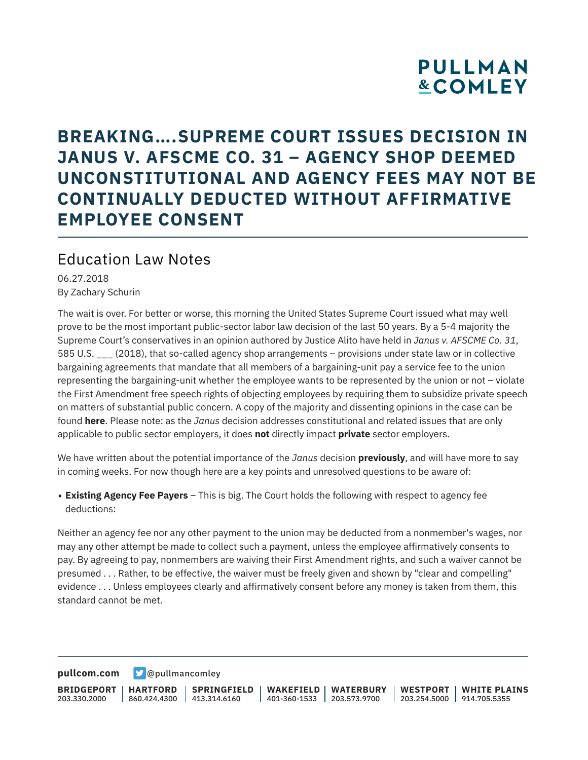## **PULLMAN &COMLEY**

### **BREAKING….SUPREME COURT ISSUES DECISION IN JANUS V. AFSCME CO. 31 – AGENCY SHOP DEEMED UNCONSTITUTIONAL AND AGENCY FEES MAY NOT BE CONTINUALLY DEDUCTED WITHOUT AFFIRMATIVE EMPLOYEE CONSENT**

#### Education Law Notes

06.27.2018 By Zachary Schurin

The wait is over. For better or worse, this morning the United States Supreme Court issued what may well prove to be the most important public-sector labor law decision of the last 50 years. By a 5-4 majority the Supreme Court's conservatives in an opinion authored by Justice Alito have held in *Janus v. AFSCME Co. 31*, 585 U.S. \_\_\_ (2018), that so-called agency shop arrangements – provisions under state law or in collective bargaining agreements that mandate that all members of a bargaining-unit pay a service fee to the union representing the bargaining-unit whether the employee wants to be represented by the union or not – violate the First Amendment free speech rights of objecting employees by requiring them to subsidize private speech on matters of substantial public concern. A copy of the majority and dissenting opinions in the case can be found **here**. Please note: as the *Janus* decision addresses constitutional and related issues that are only applicable to public sector employers, it does **not** directly impact **private** sector employers.

We have written about the potential importance of the *Janus* decision **previously**, and will have more to say in coming weeks. For now though here are a key points and unresolved questions to be aware of:

● **Existing Agency Fee Payers** – This is big. The Court holds the following with respect to agency fee deductions:

Neither an agency fee nor any other payment to the union may be deducted from a nonmember's wages, nor may any other attempt be made to collect such a payment, unless the employee affirmatively consents to pay. By agreeing to pay, nonmembers are waiving their First Amendment rights, and such a waiver cannot be presumed . . . Rather, to be effective, the waiver must be freely given and shown by "clear and compelling" evidence . . . Unless employees clearly and affirmatively consent before any money is taken from them, this standard cannot be met.

**[pullcom.com](https://www.pullcom.com) g** [@pullmancomley](https://twitter.com/PullmanComley)

**BRIDGEPORT** 203.330.2000 **HARTFORD** 860.424.4300 413.314.6160 **SPRINGFIELD WAKEFIELD WATERBURY** 401-360-1533 203.573.9700 **WESTPORT WHITE PLAINS** 203.254.5000 914.705.5355